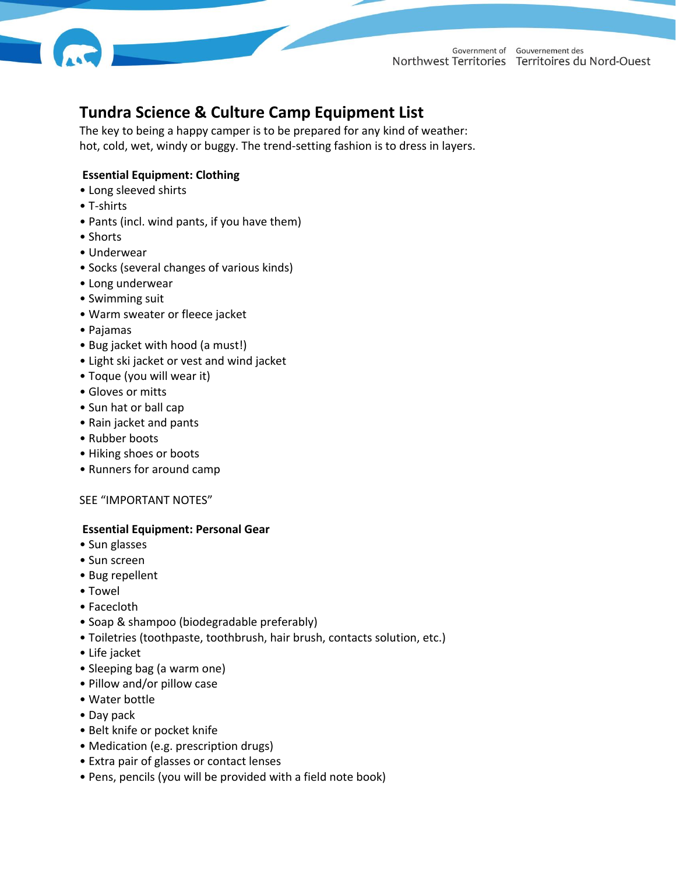

Government of Gouvernement des Northwest Territories Territoires du Nord-Ouest

# **Tundra Science & Culture Camp Equipment List**

The key to being a happy camper is to be prepared for any kind of weather: hot, cold, wet, windy or buggy. The trend-setting fashion is to dress in layers.

## **Essential Equipment: Clothing**

- Long sleeved shirts
- T-shirts
- Pants (incl. wind pants, if you have them)
- Shorts
- Underwear
- Socks (several changes of various kinds)
- Long underwear
- Swimming suit
- Warm sweater or fleece jacket
- Pajamas
- Bug jacket with hood (a must!)
- Light ski jacket or vest and wind jacket
- Toque (you will wear it)
- Gloves or mitts
- Sun hat or ball cap
- Rain jacket and pants
- Rubber boots
- Hiking shoes or boots
- Runners for around camp

#### SEE "IMPORTANT NOTES"

#### **Essential Equipment: Personal Gear**

- Sun glasses
- Sun screen
- Bug repellent
- Towel
- Facecloth
- Soap & shampoo (biodegradable preferably)
- Toiletries (toothpaste, toothbrush, hair brush, contacts solution, etc.)
- Life jacket
- Sleeping bag (a warm one)
- Pillow and/or pillow case
- Water bottle
- Day pack
- Belt knife or pocket knife
- Medication (e.g. prescription drugs)
- Extra pair of glasses or contact lenses
- Pens, pencils (you will be provided with a field note book)